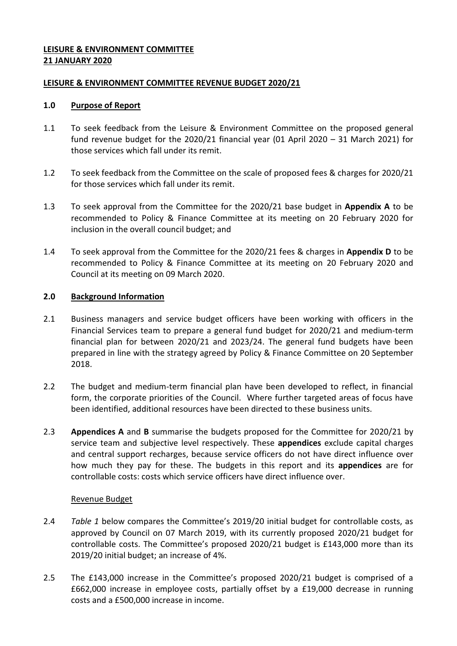# <span id="page-0-0"></span>**LEISURE & ENVIRONMENT COMMITTEE 21 JANUARY 2020**

## <span id="page-0-1"></span>**[LEISURE & ENVIRONMENT](#page-0-0) COMMITTEE REVENUE BUDGET 2020/21**

#### **1.0 Purpose of Report**

- <span id="page-0-4"></span>1.1 To seek feedback from the Leisure & Environment Committee on the proposed general fund revenue budget for the [2020/21](#page-0-1) financial year (01 April 2020 – 31 March 2021) for those services which fall under its remit.
- 1.2 To seek feedback from the Committee on the scale of proposed fees & charges for [2020/21](#page-0-1) for those services which fall under its remit.
- <span id="page-0-2"></span>1.3 To seek approval from the Committee for the [2020/21](#page-0-1) base budget in **Appendix A** to be recommended to Policy & Finance Committee at its meeting on 20 February 2020 for inclusion in the overall council budget; and
- <span id="page-0-5"></span>1.4 To seek approval from the Committee for the [2020/21](#page-0-1) fees & charges in **Appendix D** to be recommended to Policy & Finance Committee at its meeting on 20 [February 2020](#page-0-2) and Council at its meeting on 09 March 2020.

#### **2.0 Background Information**

- 2.1 Business managers and service budget officers have been working with officers in the Financial Services team to prepare a general fund budget for [2020/21](#page-0-1) and medium-term financial plan for between [2020/21](#page-0-1) and 2023/24. The general fund budgets have been prepared in line with the strategy agreed by Policy & Finance Committee on 20 September 2018.
- 2.2 The budget and medium-term financial plan have been developed to reflect, in financial form, the corporate priorities of the Council. Where further targeted areas of focus have been identified, additional resources have been directed to these business units.
- 2.3 **Appendices A** and **B** summarise the budgets proposed for the Committee for [2020/21](#page-0-1) by service team and subjective level respectively. These **appendices** exclude capital charges and central support recharges, because service officers do not have direct influence over how much they pay for these. The budgets in this report and its **appendices** are for controllable costs: costs which service officers have direct influence over.

#### <span id="page-0-3"></span>Revenue Budget

- 2.4 *Table 1* below compares the Committee's 2019/20 initial budget for controllable costs, as approved by Council on 07 March 2019, with its currently proposed [2020/21](#page-0-1) budget for controllable costs. The Committee's proposed [2020/21](#page-0-1) budget is £143,000 more than its [2019/20](#page-0-3) initial budget; an increase of 4%.
- 2.5 The £143,000 increase in the Committee's proposed [2020/21](#page-0-1) budget is comprised of a £662,000 increase in employee costs, partially offset by a £19,000 decrease in running costs and a £500,000 increase in income.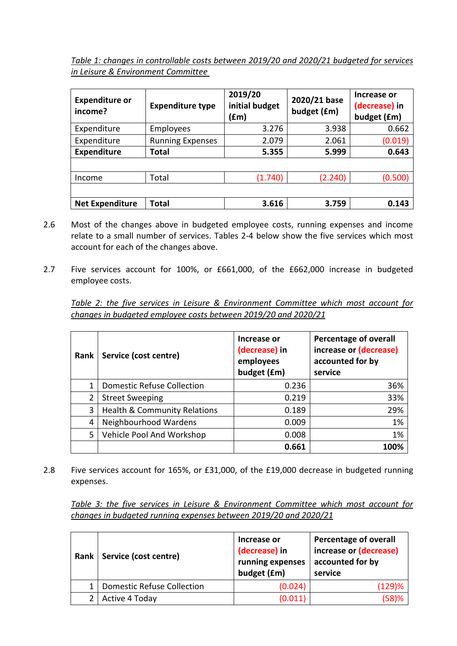*Table 1: changes in controllable costs between [2019/20](#page-0-3) and [2020/21](#page-0-1) budgeted for services in [Leisure & Environment](#page-0-4) Committee* 

<span id="page-1-0"></span>

| <b>Expenditure or</b><br>income? | <b>Expenditure type</b> | 2019/20<br>initial budget<br>(£m) | 2020/21 base<br>budget (£m) | Increase or<br>(decrease) in<br>budget (£m) |
|----------------------------------|-------------------------|-----------------------------------|-----------------------------|---------------------------------------------|
| Expenditure                      | Employees               | 3.276                             | 3.938                       | 0.662                                       |
| Expenditure                      | <b>Running Expenses</b> | 2.079                             | 2.061                       | (0.019)                                     |
| <b>Expenditure</b>               | Total                   | 5.355                             | 5.999                       | 0.643                                       |
|                                  |                         |                                   |                             |                                             |
| Income                           | Total                   | (1.740)                           | (2.240)                     | (0.500)                                     |
|                                  |                         |                                   |                             |                                             |
| <b>Net Expenditure</b>           | Total                   | 3.616                             | 3.759                       | 0.143                                       |

- 2.6 Most of the changes above in budgeted employee costs, running expenses and income relate to a small number of services. Tables 2-4 below show the five services which most account for each of the changes above.
- 2.7 Five services account for 100%, or £661,000, of the £662,000 increase in budgeted employee costs.

*Table 2: the five services in [Leisure & Environment](#page-0-4) Committee which most account for changes in budgeted employee costs between [2019/20](#page-0-3) and [2020/21](#page-0-1)*

| Rank           | Service (cost centre)                   | Increase or<br>(decrease) in<br>employees<br>budget (£m) | <b>Percentage of overall</b><br>increase or (decrease)<br>accounted for by<br>service |
|----------------|-----------------------------------------|----------------------------------------------------------|---------------------------------------------------------------------------------------|
|                | <b>Domestic Refuse Collection</b>       | 0.236                                                    | 36%                                                                                   |
| $\overline{2}$ | <b>Street Sweeping</b>                  | 0.219                                                    | 33%                                                                                   |
| 3              | <b>Health &amp; Community Relations</b> | 0.189                                                    | 29%                                                                                   |
| 4              | Neighbourhood Wardens                   | 0.009                                                    | 1%                                                                                    |
| 5              | Vehicle Pool And Workshop               | 0.008                                                    | 1%                                                                                    |
|                |                                         | 0.661                                                    | 1በበ%                                                                                  |

2.8 Five services account for 165%, or £31,000, of the £19,000 decrease in budgeted running expenses.

*Table 3: the five services in [Leisure & Environment](#page-0-4) Committee which most account for changes in budgeted running expenses between [2019/20](#page-0-3) and [2020/21](#page-0-1)*

| Rank | Service (cost centre)             | Increase or<br>(decrease) in<br>running expenses<br>budget (£m) | <b>Percentage of overall</b><br>increase or (decrease)<br>accounted for by<br>service |
|------|-----------------------------------|-----------------------------------------------------------------|---------------------------------------------------------------------------------------|
|      | <b>Domestic Refuse Collection</b> | (0.024)                                                         | (129)%                                                                                |
|      | Active 4 Today                    | (0.011)                                                         | (58)%                                                                                 |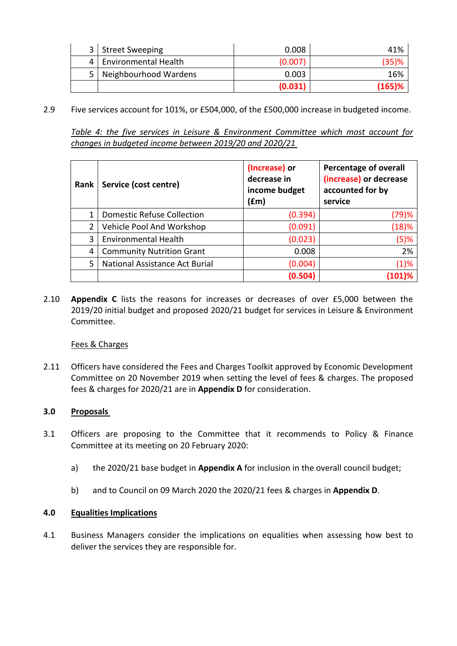|     | 3   Street Sweeping         | 0.008   | 41%       |
|-----|-----------------------------|---------|-----------|
| Δ   | <b>Environmental Health</b> | (0.007) | $(35)$ %  |
| 5 I | Neighbourhood Wardens       | 0.003   | 16%       |
|     |                             | (0.031) | $(165)$ % |

2.9 Five services account for 101%, or £504,000, of the £500,000 increase in budgeted income.

*Table 4: the five services in [Leisure & Environment](#page-0-4) Committee which most account for changes in budgeted income between [2019/20](#page-0-3) and [2020/21](#page-0-1)*

| Rank | Service (cost centre)             | (Increase) or<br>decrease in<br>income budget<br>(£m) | <b>Percentage of overall</b><br>(increase) or decrease<br>accounted for by<br>service |
|------|-----------------------------------|-------------------------------------------------------|---------------------------------------------------------------------------------------|
|      | <b>Domestic Refuse Collection</b> | (0.394)                                               | (79)%                                                                                 |
| 2    | Vehicle Pool And Workshop         | (0.091)                                               | (18)%                                                                                 |
| 3    | <b>Environmental Health</b>       | (0.023)                                               | (5)%                                                                                  |
| 4    | <b>Community Nutrition Grant</b>  | 0.008                                                 | 2%                                                                                    |
| 5    | National Assistance Act Burial    | (0.004)                                               | (1)%                                                                                  |
|      |                                   | (0.504)                                               |                                                                                       |

2.10 **Appendix C** lists the reasons for increases or decreases of over £5,000 between the [2019/20](#page-0-3) initial budget and proposed [2020/21](#page-0-1) budget for services in [Leisure & Environment](#page-0-4) Committee.

#### Fees & Charges

2.11 Officers have considered the Fees and Charges Toolkit approved by Economic Development Committee on 20 November 2019 when setting the level of fees & charges. The proposed fees & charges for [2020/21](#page-0-1) are in **Appendix D** for consideration.

#### **3.0 Proposals**

- 3.1 Officers are proposing to the Committee that it recommends to Policy & Finance Committee at its meeting on 20 [February 2020:](#page-0-2)
	- a) the [2020/21](#page-0-1) base budget in **Appendix A** for inclusion in the overall council budget;
	- b) and to Council on [09 March 2020](#page-0-5) the [2020/21](#page-0-1) fees & charges in **Appendix D**.

#### **4.0 Equalities Implications**

4.1 Business Managers consider the implications on equalities when assessing how best to deliver the services they are responsible for.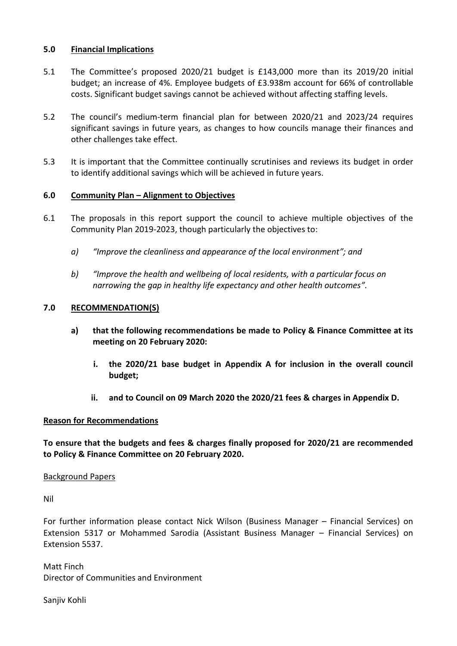### **5.0 Financial Implications**

- 5.1 The Committee's proposed [2020/21](#page-0-1) budget is £143,000 more than its [2019/20](#page-0-3) initial budget; an increase of 4%. Employee budgets of [£3.938m](#page-1-0) account for 66% of controllable costs. Significant budget savings cannot be achieved without affecting staffing levels.
- 5.2 The council's medium-term financial plan for between [2020/21](#page-0-1) and 2023/24 requires significant savings in future years, as changes to how councils manage their finances and other challenges take effect.
- 5.3 It is important that the Committee continually scrutinises and reviews its budget in order to identify additional savings which will be achieved in future years.

## **6.0 Community Plan – Alignment to Objectives**

- 6.1 The proposals in this report support the council to achieve multiple objectives of the Community Plan 2019-2023, though particularly the objectives to:
	- *a) "Improve the cleanliness and appearance of the local environment"; and*
	- *b) "Improve the health and wellbeing of local residents, with a particular focus on narrowing the gap in healthy life expectancy and other health outcomes".*

## **7.0 RECOMMENDATION(S)**

- **a) that the following recommendations be made to Policy & Finance Committee at its meeting on 20 [February 2020:](#page-0-2)**
	- **i. the [2020/21](#page-0-1) base budget in Appendix A for inclusion in the overall council budget;**
	- **ii. and to Council on [09 March 2020](#page-0-5) the [2020/21](#page-0-1) fees & charges in Appendix D.**

#### **Reason for Recommendations**

**To ensure that the budgets and fees & charges finally proposed for [2020/21](#page-0-1) are recommended to Policy & Finance Committee on 20 [February 2020.](#page-0-2)**

### Background Papers

Nil

For further information please contact Nick Wilson (Business Manager – Financial Services) on Extension 5317 or Mohammed Sarodia (Assistant Business Manager – Financial Services) on Extension 5537.

Matt Finch Director of Communities and Environment

Sanjiv Kohli